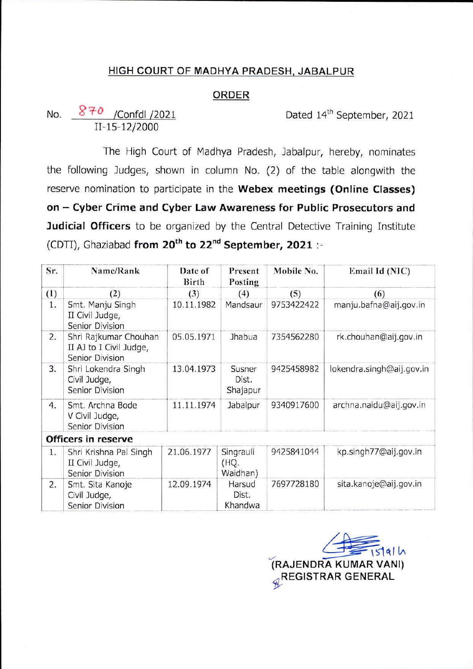### HIGH COURT OF MADHYA PRADESH, JABALPUR

#### ORDER

Dated 14<sup>th</sup> September, 2021

11-15-12/2000 No. 870 / Confdl / 2021

The High Court of Madhya Pradesh, Jabalpur, hereby, nominates the following Judges, shown in column No. (2) of the table alongwith the reserve nomination to participate in the **Webex meetings (Online Classes) on — Cyber Crime and Cyber Law Awareness for Public Prosecutors and Judicial Officers** to be organized by the Central Detective Training Institute (CDTI), Ghaziabad **from 20th to 22nd September, 2021** :-

| Sr. | Name/Rank                                                           | Date of<br>Birth | Present<br>Posting            | Mobile No. | Email Id (NIC)            |
|-----|---------------------------------------------------------------------|------------------|-------------------------------|------------|---------------------------|
| (1) | (2)                                                                 | (3)              | (4)                           | (5)        | (6)                       |
| 1.  | Smt. Manju Singh<br>II Civil Judge,<br>Senior Division              | 10.11.1982       | Mandsaur                      | 9753422422 | manju.bafna@aij.gov.in    |
| 2.  | Shri Rajkumar Chouhan<br>II AJ to I Civil Judge,<br>Senior Division | 05.05.1971       | Jhabua                        | 7354562280 | rk.chouhan@aij.gov.in     |
| 3.  | Shri Lokendra Singh<br>Civil Judge,<br>Senior Division              | 13.04.1973       | Susner<br>Dist.<br>Shajapur   | 9425458982 | lokendra.singh@aij.gov.in |
| 4.  | Smt. Archna Bode<br>V Civil Judge,<br>Senior Division               | 11.11.1974       | Jabalpur                      | 9340917600 | archna.naidu@aij.gov.in   |
|     | Officers in reserve                                                 |                  |                               |            |                           |
| 1.  | Shri Krishna Pal Singh<br>II Civil Judge,<br>Senior Division        | 21.06.1977       | Singrauli<br>(HQ.<br>Waidhan) | 9425841044 | kp.singh77@aij.gov.in     |
| 2.  | Smt. Sita Kanoje<br>Civil Judge,<br>Senior Division                 | 12.09.1974       | Harsud<br>Dist.<br>Khandwa    | 7697728180 | sita.kanoje@aij.gov.in    |

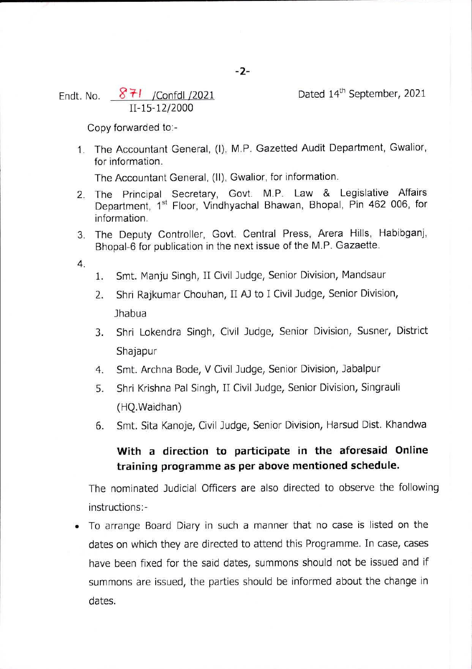Endt. No.  $871$  /Confdl /2021

Dated 14<sup>th</sup> September, 2021

Copy forwarded to:-

11-15-12/2000

1. The Accountant General, (I), M.P. Gazetted Audit Department, Gwalior, for information.

The Accountant General, (II), Gwalior, for information.

- 2. The Principal Secretary, Govt. M.P. Law & Legislative Affairs Department, 1<sup>st</sup> Floor, Vindhyachal Bhawan, Bhopal, Pin 462 006, for information.
- 3. The Deputy Controller, Govt. Central Press, Arera Hills, Habibganj, Bhopal-6 for publication in the next issue of the M.P. Gazaette.
- 4.
- 1. Smt. Manju Singh, II Civil Judge, Senior Division, Mandsaur
- 2. Shri Rajkumar Chouhan, II AJ to I Civil Judge, Senior Division, Jhabua
- 3. Shri Lokendra Singh, Civil Judge, Senior Division, Susner, District Shajapur
- 4. Smt. Archna Bode, V Civil Judge, Senior Division, Jabalpur
- 5. Shri Krishna Pal Singh, II Civil Judge, Senior Division, Singrauli (HQ.Waidhan)
- 6. Smt. Sita Kanoje, Civil Judge, Senior Division, Harsud Dist. Khandwa

# **With a direction to participate in the aforesaid Online training programme as per above mentioned schedule.**

The nominated Judicial Officers are also directed to observe the following instructions:-

• To arrange Board Diary in such a manner that no case is listed on the dates on which they are directed to attend this Programme. In case, cases have been fixed for the said dates, summons should not be issued and if summons are issued, the parties should be informed about the change in dates.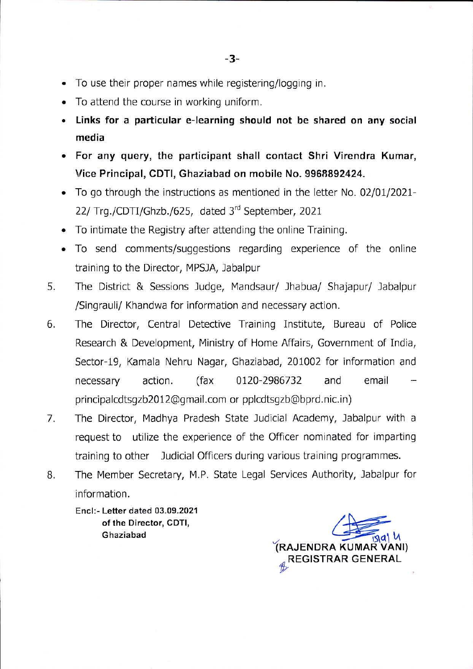- To use their proper names while registering/logging in.
- To attend the course in working uniform.
- **Links for a particular e-learning should not be shared on any social media**
- **For any query, the participant shall contact Shri Virendra Kumar,**  $\bullet$ **Vice Principal, CDTI, Ghaziabad on mobile No. 9968892424.**
- To go through the instructions as mentioned in the letter No. 02/01/2021- 22/ Trg./CDTI/Ghzb./625, dated 3rd September, 2021
- To intimate the Registry after attending the online Training.
- To send comments/suggestions regarding experience of the online  $\bullet$ training to the Director, MPSJA, Jabalpur
- The District & Sessions Judge, Mandsaur/ Jhabua/ Shajapur/ Jabalpur /Singrauli/ Khandwa for information and necessary action. 5.
- The Director, Central Detective Training Institute, Bureau of Police Research & Development, Ministry of Home Affairs, Government of India, Sector-19, Kamala Nehru Nagar, Ghaziabad, 201002 for information and email 6. necessary action. (fax 0120-2986732 and [principalcdtsgzb2012@gmail.com](mailto:principalcdtsgzb2012@gmail.com) or [pplcdtsgzb@bprd.nic.in](mailto:pplcdtsgzb@bprd.nic.in))
- The Director, Madhya Pradesh State Judicial Academy, Jabalpur with a request to utilize the experience of the Officer nominated for imparting training to other Judicial Officers during various training programmes. 7.
- The Member Secretary, M.P. State Legal Services Authority, Jabalpur for 8. information.

Enel:- Letter dated 03.09.2021 of the Director, CDTI, Ghaziabad

**(RAJENDRA KUMAR VANI) " REGISTRAR GENERAL**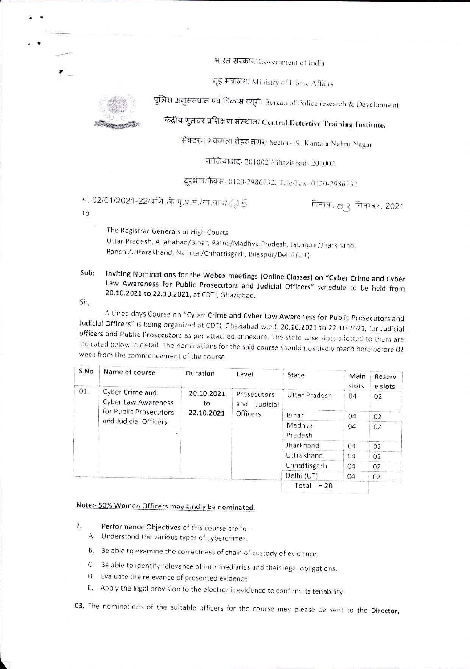भारत सरकार/ Government of India

गह मंत्रालय/ Ministry of Home Affairs



एवं विकास ब्यूरो/ Bureau of Police research & Developmen

केंद्रीय गुप्तचर प्रशिक्षण संस्थान/ Central Detective Training Institute.

सेक्टर-19 कमला नेहरु नगर/ Sector-19. Kamala Nehru Nagar

गाजियाबाद- 201002 /Ghaziabad- 201002.

दूरभाष/फैक्स- 0120-2986732, Tele/Fax- 0120-2986732

गं. 02/01/2021-22/प्रशि./के.सु.प्र.सं./गा.बाद/ $63.5$  नितांक:  $\circ$ ु सितम्बर, 2021

To

*r* \_

The Registrar Generals of High Courts Uttar Pradesh, Allahabad/Bihar, Patna/Madhya Pradesh, Jabalpur/Jharkhand, Ranchi/Uttarakhand, Nainital/Chhattisgarh, Bilaspur/Deihi (UT).

Inviting Nominations for the Webex meetings (Online Classes) on "Cyber Crime and Cyber Law Awareness for Public Prosecutors and Judicial Officers" schedule to be held from 20.10.2021 to 22.10.2021, at CDTI, Ghaziabad. Sub:

Sir

A three days Course on "Cyber Crime and Cyber Law Awareness for Public Prosecutors and Judicial Officers" is being organized at CDTI, Ghaziabad w.e.f. 20.10.2021 to 22.10.2021, for Judicial officers and Public Prosecutors as per attached annexure. The state wise slots allotted to them are indicated below in detail. The nominations for the said course should positively reach here before 02 week from the commencement of the course.

| S.No | Name of course                                                                             | Duration                       | Level                                       | State             | Main<br>slots | Reserv<br>e slots |
|------|--------------------------------------------------------------------------------------------|--------------------------------|---------------------------------------------|-------------------|---------------|-------------------|
| 01.  | Cyber Crime and<br>Cyber Law Awareness<br>for Public Prosecutors<br>and Judicial Officers. | 20.10.2021<br>to<br>22.10.2021 | Prosecutors<br>Judicial<br>and<br>Officers. | Uttar Pradesh     | 04            | 02                |
|      |                                                                                            |                                |                                             | Bihar             | 04            | 02                |
|      |                                                                                            |                                |                                             | Madhya<br>Pradesh | 04            | 02                |
|      |                                                                                            |                                |                                             | Jharkhand         | 04            | 02                |
|      |                                                                                            |                                |                                             | Uttrakhand        | 04            | 02                |
|      |                                                                                            |                                |                                             | Chhattisgarh      | 04            | 0 <sub>2</sub>    |
|      |                                                                                            |                                |                                             | Delhi (UT)        | 04            | 02                |
|      |                                                                                            |                                |                                             | Total<br>$= 28$   |               |                   |

### Note:- 50% Women Officers may kindly be nominated.

- 2. Performance Objectives of this course are to:
	- A. Understand the various types of cybercrimes
	- B. Be able to examine the correctness of chain of custody of evidence.
	- C. Be able to identify relevance of intermediaries and their legal obligations
	- D. Evaluate the relevance of presented evidence.
	- t. Apply the legal provision to the electronic evidence to confirm its tenability

03. The nominations of the suitable officers for the course may please be sent to the Director